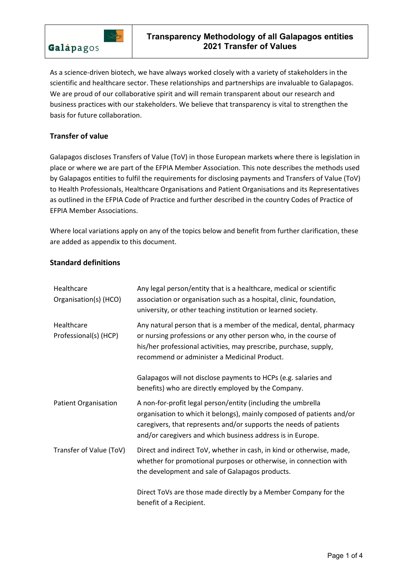

As a science-driven biotech, we have always worked closely with a variety of stakeholders in the scientific and healthcare sector. These relationships and partnerships are invaluable to Galapagos. We are proud of our collaborative spirit and will remain transparent about our research and business practices with our stakeholders. We believe that transparency is vital to strengthen the basis for future collaboration.

# **Transfer of value**

Galapagos discloses Transfers of Value (ToV) in those European markets where there is legislation in place or where we are part of the EFPIA Member Association. This note describes the methods used by Galapagos entities to fulfil the requirements for disclosing payments and Transfers of Value (ToV) to Health Professionals, Healthcare Organisations and Patient Organisations and its Representatives as outlined in the EFPIA Code of Practice and further described in the country Codes of Practice of EFPIA Member Associations.

Where local variations apply on any of the topics below and benefit from further clarification, these are added as appendix to this document.

# **Standard definitions**

| Healthcare<br>Organisation(s) (HCO) | Any legal person/entity that is a healthcare, medical or scientific<br>association or organisation such as a hospital, clinic, foundation,<br>university, or other teaching institution or learned society.                                                              |
|-------------------------------------|--------------------------------------------------------------------------------------------------------------------------------------------------------------------------------------------------------------------------------------------------------------------------|
| Healthcare<br>Professional(s) (HCP) | Any natural person that is a member of the medical, dental, pharmacy<br>or nursing professions or any other person who, in the course of<br>his/her professional activities, may prescribe, purchase, supply,<br>recommend or administer a Medicinal Product.            |
|                                     | Galapagos will not disclose payments to HCPs (e.g. salaries and<br>benefits) who are directly employed by the Company.                                                                                                                                                   |
| <b>Patient Organisation</b>         | A non-for-profit legal person/entity (including the umbrella<br>organisation to which it belongs), mainly composed of patients and/or<br>caregivers, that represents and/or supports the needs of patients<br>and/or caregivers and which business address is in Europe. |
| Transfer of Value (ToV)             | Direct and indirect ToV, whether in cash, in kind or otherwise, made,<br>whether for promotional purposes or otherwise, in connection with<br>the development and sale of Galapagos products.                                                                            |
|                                     | Direct ToVs are those made directly by a Member Company for the<br>benefit of a Recipient.                                                                                                                                                                               |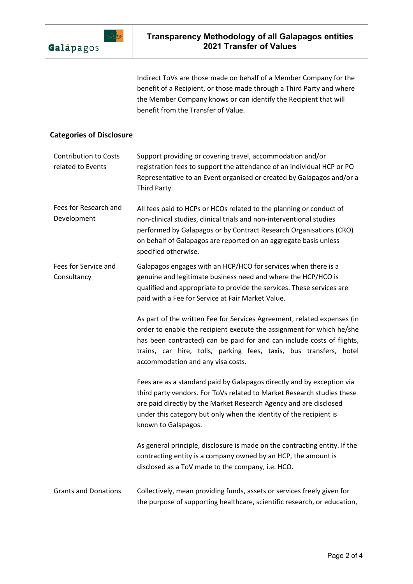

Indirect ToVs are those made on behalf of a Member Company for the benefit of a Recipient, or those made through a Third Party and where the Member Company knows or can identify the Recipient that will benefit from the Transfer of Value.

# **Categories of Disclosure**

| <b>Contribution to Costs</b><br>related to Events | Support providing or covering travel, accommodation and/or<br>registration fees to support the attendance of an individual HCP or PO<br>Representative to an Event organised or created by Galapagos and/or a<br>Third Party.                                                                                                         |
|---------------------------------------------------|---------------------------------------------------------------------------------------------------------------------------------------------------------------------------------------------------------------------------------------------------------------------------------------------------------------------------------------|
| Fees for Research and<br>Development              | All fees paid to HCPs or HCOs related to the planning or conduct of<br>non-clinical studies, clinical trials and non-interventional studies<br>performed by Galapagos or by Contract Research Organisations (CRO)<br>on behalf of Galapagos are reported on an aggregate basis unless<br>specified otherwise.                         |
| Fees for Service and<br>Consultancy               | Galapagos engages with an HCP/HCO for services when there is a<br>genuine and legitimate business need and where the HCP/HCO is<br>qualified and appropriate to provide the services. These services are<br>paid with a Fee for Service at Fair Market Value.                                                                         |
|                                                   | As part of the written Fee for Services Agreement, related expenses (in<br>order to enable the recipient execute the assignment for which he/she<br>has been contracted) can be paid for and can include costs of flights,<br>trains, car hire, tolls, parking fees, taxis, bus transfers, hotel<br>accommodation and any visa costs. |
|                                                   | Fees are as a standard paid by Galapagos directly and by exception via<br>third party vendors. For ToVs related to Market Research studies these<br>are paid directly by the Market Research Agency and are disclosed<br>under this category but only when the identity of the recipient is<br>known to Galapagos.                    |
|                                                   | As general principle, disclosure is made on the contracting entity. If the<br>contracting entity is a company owned by an HCP, the amount is<br>disclosed as a ToV made to the company, i.e. HCO.                                                                                                                                     |
| <b>Grants and Donations</b>                       | Collectively, mean providing funds, assets or services freely given for<br>the purpose of supporting healthcare, scientific research, or education,                                                                                                                                                                                   |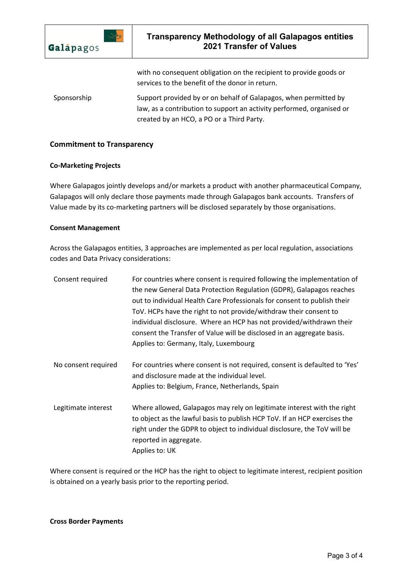

with no consequent obligation on the recipient to provide goods or services to the benefit of the donor in return. Sponsorship Support provided by or on behalf of Galapagos, when permitted by law, as a contribution to support an activity performed, organised or created by an HCO, a PO or a Third Party.

## **Commitment to Transparency**

#### **Co-Marketing Projects**

Where Galapagos jointly develops and/or markets a product with another pharmaceutical Company, Galapagos will only declare those payments made through Galapagos bank accounts. Transfers of Value made by its co-marketing partners will be disclosed separately by those organisations.

## **Consent Management**

Across the Galapagos entities, 3 approaches are implemented as per local regulation, associations codes and Data Privacy considerations:

| Consent required    | For countries where consent is required following the implementation of<br>the new General Data Protection Regulation (GDPR), Galapagos reaches<br>out to individual Health Care Professionals for consent to publish their<br>ToV. HCPs have the right to not provide/withdraw their consent to<br>individual disclosure. Where an HCP has not provided/withdrawn their<br>consent the Transfer of Value will be disclosed in an aggregate basis.<br>Applies to: Germany, Italy, Luxembourg |
|---------------------|----------------------------------------------------------------------------------------------------------------------------------------------------------------------------------------------------------------------------------------------------------------------------------------------------------------------------------------------------------------------------------------------------------------------------------------------------------------------------------------------|
| No consent required | For countries where consent is not required, consent is defaulted to 'Yes'<br>and disclosure made at the individual level.<br>Applies to: Belgium, France, Netherlands, Spain                                                                                                                                                                                                                                                                                                                |
| Legitimate interest | Where allowed, Galapagos may rely on legitimate interest with the right<br>to object as the lawful basis to publish HCP ToV. If an HCP exercises the<br>right under the GDPR to object to individual disclosure, the ToV will be<br>reported in aggregate.<br>Applies to: UK                                                                                                                                                                                                                 |

Where consent is required or the HCP has the right to object to legitimate interest, recipient position is obtained on a yearly basis prior to the reporting period.

#### **Cross Border Payments**